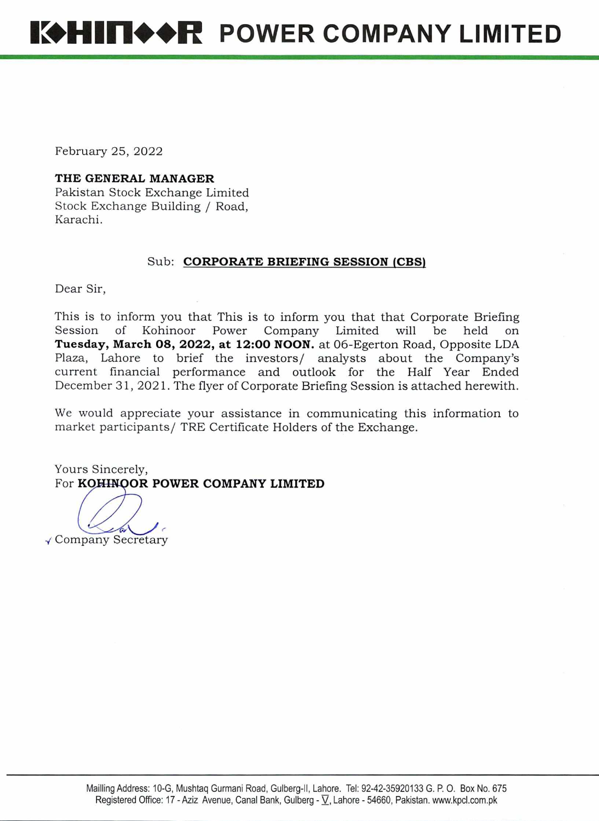February 25, 2022

## **THE GENERAL MANAGER**

Pakistan Stock Exchange Limited Stock Exchange Building / Road, Karachi.

## Sub: **CORPORATE BRIEFING SESSION (CBS)**

Dear Sir,

This is to inform you that This is to inform you that that Corporate Briefing<br>Session of Kohinoor Power Company Limited will be held on Company Limited will be held on **Tuesday, March 08, 2022, at 12:00 NOON.** at 06-Egerton Road, Opposite LDA Plaza, Lahore to brief the investors/ analysts about the Company's current financial performance and outlook for the Half Year Ended December 31, 2021. The flyer of Corporate Briefing Session is attached herewith.

We would appreciate your assistance in communicating this information to market participants/ TRE Certificate Holders of the Exchange.

Yours Sincerely, For **KOHINOOR POWER COMPANY LIMITED** 

 $1/a$ Company Secretary

Mauling Address: 1O-G, Mushtaq Gurmani Road, Gulberg-lI, Lahore. Tel: 92-42-35920133 G, P. 0. Box No. 675 Registered Office: 17 - **Aziz Avenue, Canal Bank, Gulberg** - V, **Lahore - 54660, Pakistan. www.kpcl.com.pk**